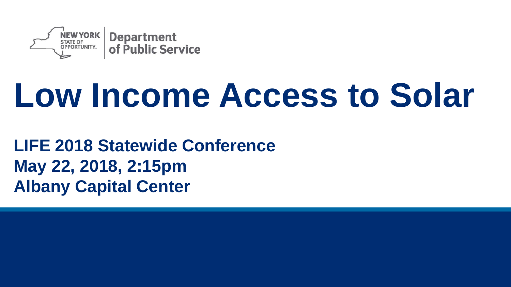

# **Low Income Access to Solar**

#### **LIFE 2018 Statewide Conference May 22, 2018, 2:15pm Albany Capital Center**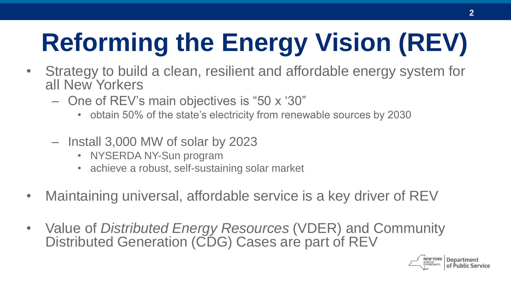#### **Reforming the Energy Vision (REV)**

- Strategy to build a clean, resilient and affordable energy system for all New Yorkers
	- One of REV's main objectives is "50 x '30"
		- obtain 50% of the state's electricity from renewable sources by 2030
	- Install 3,000 MW of solar by 2023
		- NYSERDA NY-Sun program
		- achieve a robust, self-sustaining solar market
- Maintaining universal, affordable service is a key driver of REV
- Value of *Distributed Energy Resources* (VDER) and Community Distributed Generation (CDG) Cases are part of REV

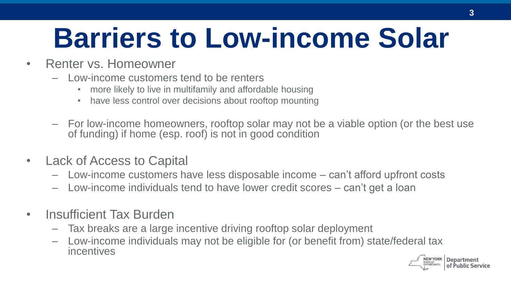#### **Barriers to Low-income Solar**

- Renter vs. Homeowner
	- Low-income customers tend to be renters
		- more likely to live in multifamily and affordable housing
		- have less control over decisions about rooftop mounting
	- For low-income homeowners, rooftop solar may not be a viable option (or the best use of funding) if home (esp. roof) is not in good condition
- Lack of Access to Capital
	- Low-income customers have less disposable income can't afford upfront costs
	- Low-income individuals tend to have lower credit scores can't get a loan
- Insufficient Tax Burden
	- Tax breaks are a large incentive driving rooftop solar deployment
	- Low-income individuals may not be eligible for (or benefit from) state/federal tax incentives

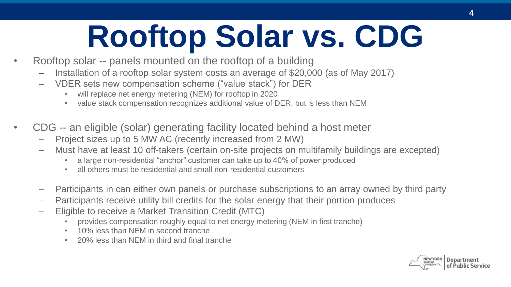### **Rooftop Solar vs. CDG**

- Rooftop solar -- panels mounted on the rooftop of a building
	- Installation of a rooftop solar system costs an average of \$20,000 (as of May 2017)
	- VDER sets new compensation scheme ("value stack") for DER
		- will replace net energy metering (NEM) for rooftop in 2020
		- value stack compensation recognizes additional value of DER, but is less than NEM
- CDG -- an eligible (solar) generating facility located behind a host meter
	- Project sizes up to 5 MW AC (recently increased from 2 MW)
	- Must have at least 10 off-takers (certain on-site projects on multifamily buildings are excepted)
		- a large non-residential "anchor" customer can take up to 40% of power produced
		- all others must be residential and small non-residential customers
	- Participants in can either own panels or purchase subscriptions to an array owned by third party
	- Participants receive utility bill credits for the solar energy that their portion produces
	- Eligible to receive a Market Transition Credit (MTC)
		- provides compensation roughly equal to net energy metering (NEM in first tranche)
		- 10% less than NEM in second tranche
		- 20% less than NEM in third and final tranche

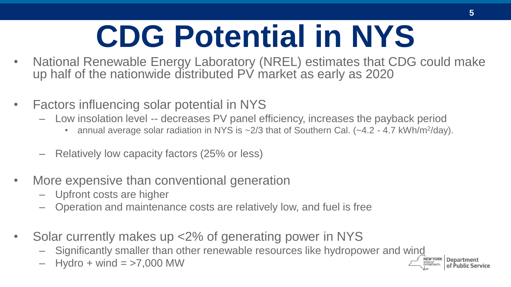# **CDG Potential in NYS**

- National Renewable Energy Laboratory (NREL) estimates that CDG could make up half of the nationwide distributed  $P\acute{V}$  market as early as 2020
- Factors influencing solar potential in NYS
	- Low insolation level -- decreases PV panel efficiency, increases the payback period
		- annual average solar radiation in NYS is  $\sim$  2/3 that of Southern Cal. ( $\sim$  4.2 4.7 kWh/m<sup>2</sup>/day).
	- Relatively low capacity factors (25% or less)
- More expensive than conventional generation
	- Upfront costs are higher
	- Operation and maintenance costs are relatively low, and fuel is free
- Solar currently makes up <2% of generating power in NYS
	- Significantly smaller than other renewable resources like hydropower and wind
	- Hydro + wind  $=$  >7,000 MW

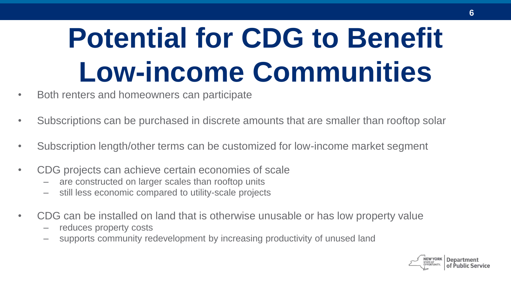#### **Potential for CDG to Benefit Low-income Communities**

- Both renters and homeowners can participate
- Subscriptions can be purchased in discrete amounts that are smaller than rooftop solar
- Subscription length/other terms can be customized for low-income market segment
- CDG projects can achieve certain economies of scale
	- are constructed on larger scales than rooftop units
	- still less economic compared to utility-scale projects
- CDG can be installed on land that is otherwise unusable or has low property value
	- reduces property costs
	- supports community redevelopment by increasing productivity of unused land

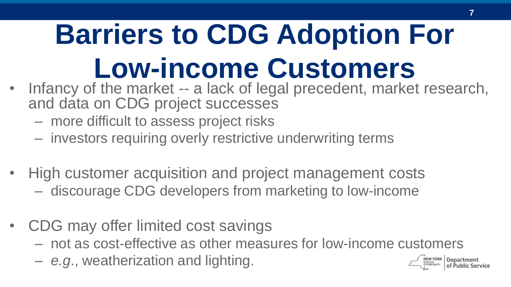### **Barriers to CDG Adoption For Low-income Customers**

- Infancy of the market -- a lack of legal precedent, market research, and data on CDG project successes
	- more difficult to assess project risks
	- investors requiring overly restrictive underwriting terms
- High customer acquisition and project management costs – discourage CDG developers from marketing to low-income
- CDG may offer limited cost savings
	- not as cost-effective as other measures for low-income customers
	- *e.g*., weatherization and lighting.

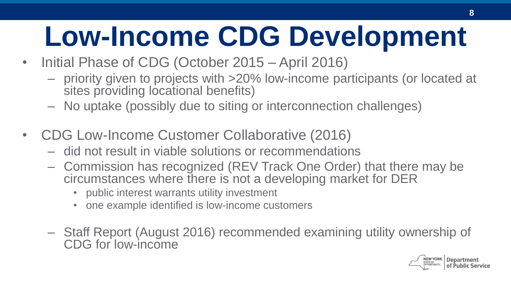#### **Low-Income CDG Development**

- Initial Phase of CDG (October 2015 April 2016)
	- priority given to projects with >20% low-income participants (or located at sites providing locational benefits)
	- No uptake (possibly due to siting or interconnection challenges)
- CDG Low-Income Customer Collaborative (2016)
	- did not result in viable solutions or recommendations
	- Commission has recognized (REV Track One Order) that there may be circumstances where there is not a developing market for DER
		- public interest warrants utility investment
		- one example identified is low-income customers
	- Staff Report (August 2016) recommended examining utility ownership of CDG for low-income

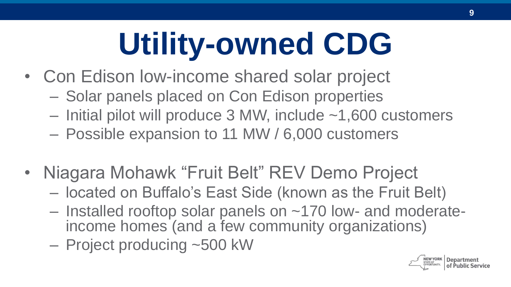# **Utility-owned CDG**

- Con Edison low-income shared solar project
	- Solar panels placed on Con Edison properties
	- Initial pilot will produce 3 MW, include ~1,600 customers
	- Possible expansion to 11 MW / 6,000 customers
- Niagara Mohawk "Fruit Belt" REV Demo Project
	- located on Buffalo's East Side (known as the Fruit Belt)
	- Installed rooftop solar panels on ~170 low- and moderateincome homes (and a few community organizations)
	- Project producing ~500 kW

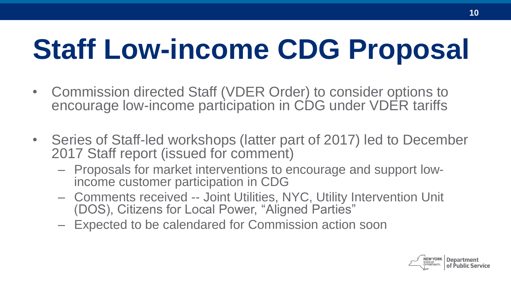#### **Staff Low-income CDG Proposal**

- Commission directed Staff (VDER Order) to consider options to encourage low-income participation in CDG under VDER tariffs
- Series of Staff-led workshops (latter part of 2017) led to December 2017 Staff report (issued for comment)
	- Proposals for market interventions to encourage and support lowincome customer participation in CDG
	- Comments received -- Joint Utilities, NYC, Utility Intervention Unit (DOS), Citizens for Local Power, "Aligned Parties"
	- Expected to be calendared for Commission action soon

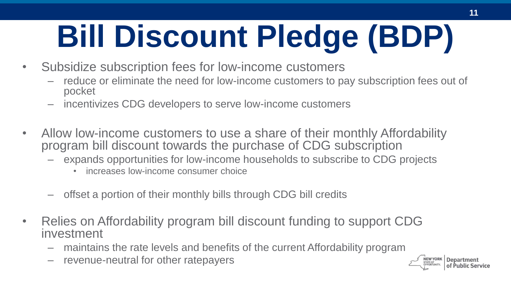# **Bill Discount Pledge (BDP)**

- Subsidize subscription fees for low-income customers
	- reduce or eliminate the need for low-income customers to pay subscription fees out of pocket
	- incentivizes CDG developers to serve low-income customers
- Allow low-income customers to use a share of their monthly Affordability program bill discount towards the purchase of CDG subscription
	- expands opportunities for low-income households to subscribe to CDG projects
		- increases low-income consumer choice
	- offset a portion of their monthly bills through CDG bill credits
- Relies on Affordability program bill discount funding to support CDG investment
	- maintains the rate levels and benefits of the current Affordability program
	- revenue-neutral for other ratepayers

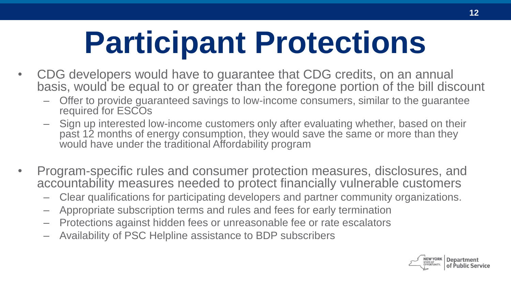## **Participant Protections**

- CDG developers would have to guarantee that CDG credits, on an annual basis, would be equal to or greater than the foregone portion of the bill discount
	- Offer to provide guaranteed savings to low-income consumers, similar to the guarantee required for ESCOs
	- Sign up interested low-income customers only after evaluating whether, based on their past 12 months of energy consumption, they would save the same or more than they would have under the traditional Affordability program
- Program-specific rules and consumer protection measures, disclosures, and accountability measures needed to protect financially vulnerable customers
	- Clear qualifications for participating developers and partner community organizations.
	- Appropriate subscription terms and rules and fees for early termination
	- Protections against hidden fees or unreasonable fee or rate escalators
	- Availability of PSC Helpline assistance to BDP subscribers

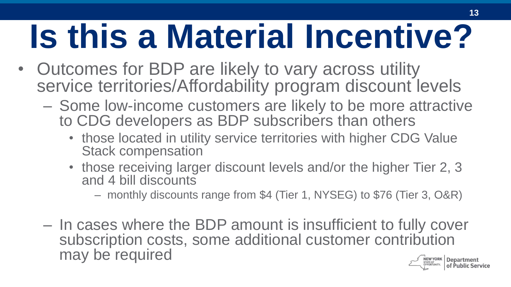# **Is this a Material Incentive?**

- Outcomes for BDP are likely to vary across utility service territories/Affordability program discount levels
	- Some low-income customers are likely to be more attractive to CDG developers as BDP subscribers than others
		- those located in utility service territories with higher CDG Value Stack compensation
		- those receiving larger discount levels and/or the higher Tier 2, 3 and 4 bill discounts
			- monthly discounts range from \$4 (Tier 1, NYSEG) to \$76 (Tier 3, O&R)
	- In cases where the BDP amount is insufficient to fully cover subscription costs, some additional customer contribution may be required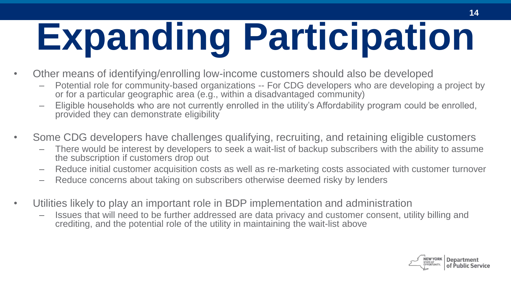# **Expanding Participation**

- Other means of identifying/enrolling low-income customers should also be developed
	- Potential role for community-based organizations -- For CDG developers who are developing a project by or for a particular geographic area (e.g., within a disadvantaged community)
	- Eligible households who are not currently enrolled in the utility's Affordability program could be enrolled, provided they can demonstrate eligibility
- Some CDG developers have challenges qualifying, recruiting, and retaining eligible customers
	- There would be interest by developers to seek a wait-list of backup subscribers with the ability to assume the subscription if customers drop out
	- Reduce initial customer acquisition costs as well as re-marketing costs associated with customer turnover
	- Reduce concerns about taking on subscribers otherwise deemed risky by lenders
- Utilities likely to play an important role in BDP implementation and administration
	- Issues that will need to be further addressed are data privacy and customer consent, utility billing and crediting, and the potential role of the utility in maintaining the wait-list above

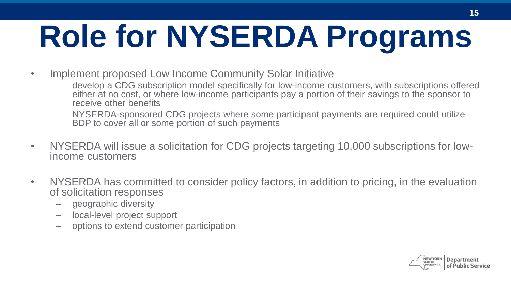# **Role for NYSERDA Programs**

- Implement proposed Low Income Community Solar Initiative
	- develop a CDG subscription model specifically for low-income customers, with subscriptions offered either at no cost, or where low-income participants pay a portion of their savings to the sponsor to receive other benefits
	- NYSERDA-sponsored CDG projects where some participant payments are required could utilize BDP to cover all or some portion of such payments
- NYSERDA will issue a solicitation for CDG projects targeting 10,000 subscriptions for lowincome customers
- NYSERDA has committed to consider policy factors, in addition to pricing, in the evaluation of solicitation responses
	- geographic diversity
	- local-level project support
	- options to extend customer participation

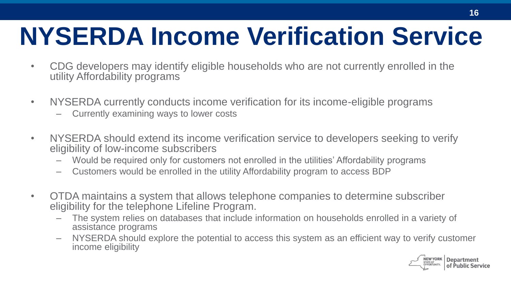#### **NYSERDA Income Verification Service**

- CDG developers may identify eligible households who are not currently enrolled in the utility Affordability programs
- NYSERDA currently conducts income verification for its income-eligible programs
	- Currently examining ways to lower costs
- NYSERDA should extend its income verification service to developers seeking to verify eligibility of low-income subscribers
	- Would be required only for customers not enrolled in the utilities' Affordability programs
	- Customers would be enrolled in the utility Affordability program to access BDP
- OTDA maintains a system that allows telephone companies to determine subscriber eligibility for the telephone Lifeline Program.
	- The system relies on databases that include information on households enrolled in a variety of assistance programs
	- NYSERDA should explore the potential to access this system as an efficient way to verify customer income eligibility

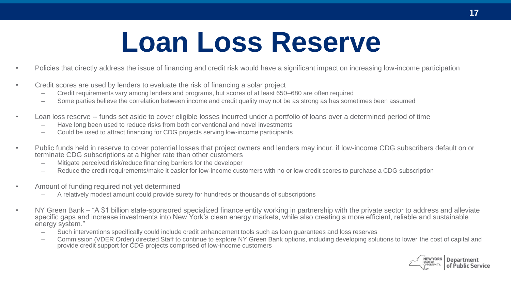#### **Loan Loss Reserve**

- Policies that directly address the issue of financing and credit risk would have a significant impact on increasing low-income participation
- Credit scores are used by lenders to evaluate the risk of financing a solar project
	- Credit requirements vary among lenders and programs, but scores of at least 650–680 are often required
	- Some parties believe the correlation between income and credit quality may not be as strong as has sometimes been assumed
- Loan loss reserve -- funds set aside to cover eligible losses incurred under a portfolio of loans over a determined period of time
	- Have long been used to reduce risks from both conventional and novel investments
	- Could be used to attract financing for CDG projects serving low-income participants
- Public funds held in reserve to cover potential losses that project owners and lenders may incur, if low-income CDG subscribers default on or terminate CDG subscriptions at a higher rate than other customers
	- Mitigate perceived risk/reduce financing barriers for the developer
	- Reduce the credit requirements/make it easier for low-income customers with no or low credit scores to purchase a CDG subscription
- Amount of funding required not yet determined
	- A relatively modest amount could provide surety for hundreds or thousands of subscriptions
- NY Green Bank "A \$1 billion state-sponsored specialized finance entity working in partnership with the private sector to address and alleviate specific gaps and increase investments into New York's clean energy markets, while also creating a more efficient, reliable and sustainable energy system."
	- Such interventions specifically could include credit enhancement tools such as loan guarantees and loss reserves
	- Commission (VDER Order) directed Staff to continue to explore NY Green Bank options, including developing solutions to lower the cost of capital and provide credit support for CDG projects comprised of low-income customers

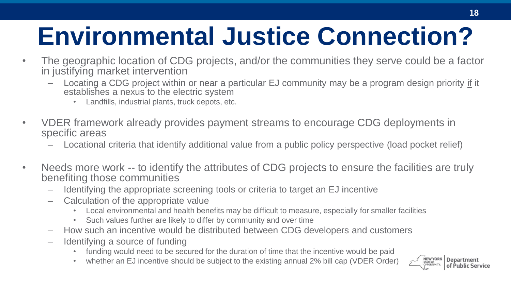#### **Environmental Justice Connection?**

- The geographic location of CDG projects, and/or the communities they serve could be a factor in justifying market intervention
	- Locating a CDG project within or near a particular EJ community may be a program design priority if it establishes a nexus to the electric system
		- Landfills, industrial plants, truck depots, etc.
- VDER framework already provides payment streams to encourage CDG deployments in specific areas
	- Locational criteria that identify additional value from a public policy perspective (load pocket relief)
- Needs more work -- to identify the attributes of CDG projects to ensure the facilities are truly benefiting those communities
	- Identifying the appropriate screening tools or criteria to target an EJ incentive
	- Calculation of the appropriate value
		- Local environmental and health benefits may be difficult to measure, especially for smaller facilities
		- Such values further are likely to differ by community and over time
	- How such an incentive would be distributed between CDG developers and customers
	- Identifying a source of funding
		- funding would need to be secured for the duration of time that the incentive would be paid
		- whether an EJ incentive should be subject to the existing annual 2% bill cap (VDER Order)